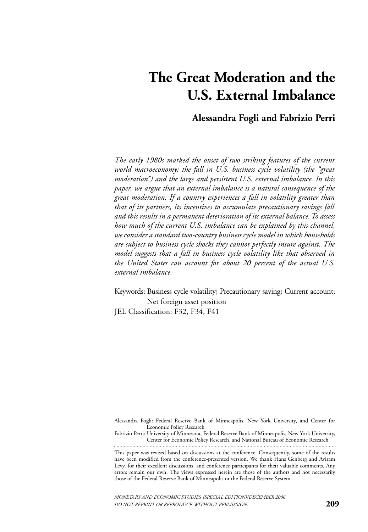# **The Great Moderation and the U.S. External Imbalance**

# **Alessandra Fogli and Fabrizio Perri**

*The early 1980s marked the onset of two striking features of the current world macroeconomy: the fall in U.S. business cycle volatility (the "great moderation") and the large and persistent U.S. external imbalance. In this paper, we argue that an external imbalance is a natural consequence of the great moderation. If a country experiences a fall in volatility greater than that of its partners, its incentives to accumulate precautionary savings fall and this results in a permanent deterioration of its external balance. To assess how much of the current U.S. imbalance can be explained by this channel, we consider a standard two-country business cycle model in which households are subject to business cycle shocks they cannot perfectly insure against. The model suggests that a fall in business cycle volatility like that observed in the United States can account for about 20 percent of the actual U.S. external imbalance.*

Keywords: Business cycle volatility; Precautionary saving; Current account; Net foreign asset position JEL Classification: F32, F34, F41

Alessandra Fogli: Federal Reserve Bank of Minneapolis, New York University, and Center for Economic Policy Research

Fabrizio Perri: University of Minnesota, Federal Reserve Bank of Minneapolis, New York University, Center for Economic Policy Research, and National Bureau of Economic Research

This paper was revised based on discussions at the conference. Consequently, some of the results have been modified from the conference-presented version. We thank Hans Genberg and Aviram Levy, for their excellent discussions, and conference participants for their valuable comments. Any errors remain our own. The views expressed herein are those of the authors and not necessarily those of the Federal Reserve Bank of Minneapolis or the Federal Reserve System.

*MONETARY AND ECONOMIC STUDIES (SPECIAL EDITION)/DECEMBER 2006 DO NOT REPRINT OR REPRODUCE WITHOUT PERMISSION.*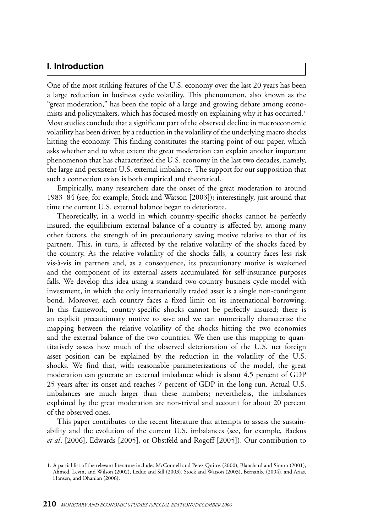# **I. Introduction**

One of the most striking features of the U.S. economy over the last 20 years has been a large reduction in business cycle volatility. This phenomenon, also known as the "great moderation," has been the topic of a large and growing debate among economists and policymakers, which has focused mostly on explaining why it has occurred.*<sup>1</sup>* Most studies conclude that a significant part of the observed decline in macroeconomic volatility has been driven by a reduction in the volatility of the underlying macro shocks hitting the economy. This finding constitutes the starting point of our paper, which asks whether and to what extent the great moderation can explain another important phenomenon that has characterized the U.S. economy in the last two decades, namely, the large and persistent U.S. external imbalance. The support for our supposition that such a connection exists is both empirical and theoretical.

Empirically, many researchers date the onset of the great moderation to around 1983–84 (see, for example, Stock and Watson [2003]); interestingly, just around that time the current U.S. external balance began to deteriorate.

Theoretically, in a world in which country-specific shocks cannot be perfectly insured, the equilibrium external balance of a country is affected by, among many other factors, the strength of its precautionary saving motive relative to that of its partners. This, in turn, is affected by the relative volatility of the shocks faced by the country. As the relative volatility of the shocks falls, a country faces less risk vis-à-vis its partners and, as a consequence, its precautionary motive is weakened and the component of its external assets accumulated for self-insurance purposes falls. We develop this idea using a standard two-country business cycle model with investment, in which the only internationally traded asset is a single non-contingent bond. Moreover, each country faces a fixed limit on its international borrowing. In this framework, country-specific shocks cannot be perfectly insured; there is an explicit precautionary motive to save and we can numerically characterize the mapping between the relative volatility of the shocks hitting the two economies and the external balance of the two countries. We then use this mapping to quantitatively assess how much of the observed deterioration of the U.S. net foreign asset position can be explained by the reduction in the volatility of the U.S. shocks. We find that, with reasonable parameterizations of the model, the great moderation can generate an external imbalance which is about 4.5 percent of GDP 25 years after its onset and reaches 7 percent of GDP in the long run. Actual U.S. imbalances are much larger than these numbers; nevertheless, the imbalances explained by the great moderation are non-trivial and account for about 20 percent of the observed ones.

This paper contributes to the recent literature that attempts to assess the sustainability and the evolution of the current U.S. imbalances (see, for example, Backus *et al*. [2006], Edwards [2005], or Obstfeld and Rogoff [2005]). Our contribution to

<sup>1.</sup> A partial list of the relevant literature includes McConnell and Perez-Quiros (2000), Blanchard and Simon (2001), Ahmed, Levin, and Wilson (2002), Leduc and Sill (2003), Stock and Watson (2003), Bernanke (2004), and Arias, Hansen, and Ohanian (2006).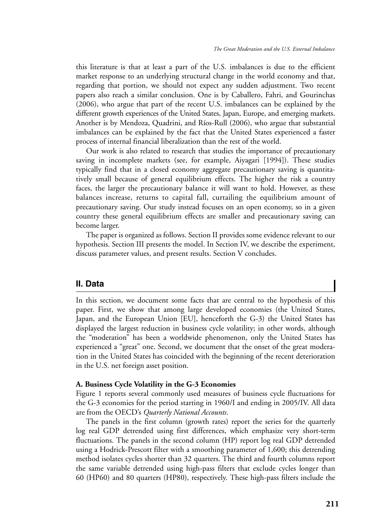this literature is that at least a part of the U.S. imbalances is due to the efficient market response to an underlying structural change in the world economy and that, regarding that portion, we should not expect any sudden adjustment. Two recent papers also reach a similar conclusion. One is by Caballero, Fahri, and Gourinchas (2006), who argue that part of the recent U.S. imbalances can be explained by the different growth experiences of the United States, Japan, Europe, and emerging markets. Another is by Mendoza, Quadrini, and Ríos-Rull (2006), who argue that substantial imbalances can be explained by the fact that the United States experienced a faster process of internal financial liberalization than the rest of the world.

Our work is also related to research that studies the importance of precautionary saving in incomplete markets (see, for example, Aiyagari [1994]). These studies typically find that in a closed economy aggregate precautionary saving is quantitatively small because of general equilibrium effects. The higher the risk a country faces, the larger the precautionary balance it will want to hold. However, as these balances increase, returns to capital fall, curtailing the equilibrium amount of precautionary saving. Our study instead focuses on an open economy, so in a given country these general equilibrium effects are smaller and precautionary saving can become larger.

The paper is organized as follows. Section II provides some evidence relevant to our hypothesis. Section III presents the model. In Section IV, we describe the experiment, discuss parameter values, and present results. Section V concludes.

## **II. Data**

In this section, we document some facts that are central to the hypothesis of this paper. First, we show that among large developed economies (the United States, Japan, and the European Union [EU], henceforth the G-3) the United States has displayed the largest reduction in business cycle volatility; in other words, although the "moderation" has been a worldwide phenomenon, only the United States has experienced a "great" one. Second, we document that the onset of the great moderation in the United States has coincided with the beginning of the recent deterioration in the U.S. net foreign asset position.

### **A. Business Cycle Volatility in the G-3 Economies**

Figure 1 reports several commonly used measures of business cycle fluctuations for the G-3 economies for the period starting in 1960/I and ending in 2005/IV. All data are from the OECD's *Quarterly National Accounts*.

The panels in the first column (growth rates) report the series for the quarterly log real GDP detrended using first differences, which emphasize very short-term fluctuations. The panels in the second column (HP) report log real GDP detrended using a Hodrick-Prescott filter with a smoothing parameter of 1,600; this detrending method isolates cycles shorter than 32 quarters. The third and fourth columns report the same variable detrended using high-pass filters that exclude cycles longer than 60 (HP60) and 80 quarters (HP80), respectively. These high-pass filters include the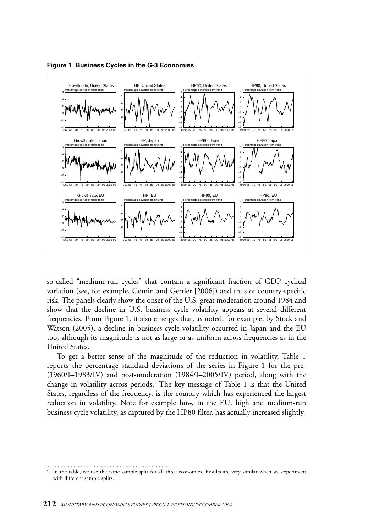

**Figure 1 Business Cycles in the G-3 Economies**

so-called "medium-run cycles" that contain a significant fraction of GDP cyclical variation (see, for example, Comin and Gertler [2006]) and thus of country-specific risk. The panels clearly show the onset of the U.S. great moderation around 1984 and show that the decline in U.S. business cycle volatility appears at several different frequencies. From Figure 1, it also emerges that, as noted, for example, by Stock and Watson (2005), a decline in business cycle volatility occurred in Japan and the EU too, although its magnitude is not as large or as uniform across frequencies as in the United States.

To get a better sense of the magnitude of the reduction in volatility, Table 1 reports the percentage standard deviations of the series in Figure 1 for the pre- (1960/I–1983/IV) and post-moderation (1984/I–2005/IV) period, along with the change in volatility across periods.*<sup>2</sup>* The key message of Table 1 is that the United States, regardless of the frequency, is the country which has experienced the largest reduction in volatility. Note for example how, in the EU, high and medium-run business cycle volatility, as captured by the HP80 filter, has actually increased slightly.

<sup>2.</sup> In the table, we use the same sample split for all three economies. Results are very similar when we experiment with different sample splits.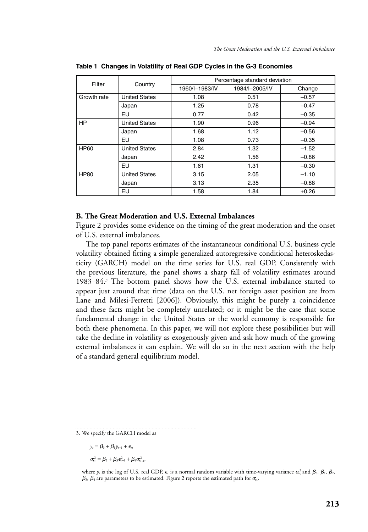| Filter      | Country              | Percentage standard deviation |                |         |  |  |
|-------------|----------------------|-------------------------------|----------------|---------|--|--|
|             |                      | 1960/I-1983/IV                | 1984/I-2005/IV | Change  |  |  |
| Growth rate | <b>United States</b> | 1.08                          | 0.51           | $-0.57$ |  |  |
|             | Japan                | 1.25                          | 0.78           | $-0.47$ |  |  |
|             | EU                   | 0.77                          | 0.42           | $-0.35$ |  |  |
| <b>HP</b>   | <b>United States</b> | 1.90                          | 0.96           | $-0.94$ |  |  |
|             | Japan                | 1.68                          | 1.12           | $-0.56$ |  |  |
|             | EU                   | 1.08                          | 0.73           | $-0.35$ |  |  |
| <b>HP60</b> | <b>United States</b> | 2.84                          | 1.32           | $-1.52$ |  |  |
|             | Japan                | 2.42                          | 1.56           | $-0.86$ |  |  |
|             | EU                   | 1.61                          | 1.31           | $-0.30$ |  |  |
| <b>HP80</b> | <b>United States</b> | 3.15                          | 2.05           | $-1.10$ |  |  |
|             | Japan                | 3.13                          | 2.35           | $-0.88$ |  |  |
|             | EU                   | 1.58                          | 1.84           | $+0.26$ |  |  |

**Table 1 Changes in Volatility of Real GDP Cycles in the G-3 Economies**

## **B. The Great Moderation and U.S. External Imbalances**

Figure 2 provides some evidence on the timing of the great moderation and the onset of U.S. external imbalances.

The top panel reports estimates of the instantaneous conditional U.S. business cycle volatility obtained fitting a simple generalized autoregressive conditional heteroskedasticity (GARCH) model on the time series for U.S. real GDP. Consistently with the previous literature, the panel shows a sharp fall of volatility estimates around 1983–84.*<sup>3</sup>* The bottom panel shows how the U.S. external imbalance started to appear just around that time (data on the U.S. net foreign asset position are from Lane and Milesi-Ferretti [2006]). Obviously, this might be purely a coincidence and these facts might be completely unrelated; or it might be the case that some fundamental change in the United States or the world economy is responsible for both these phenomena. In this paper, we will not explore these possibilities but will take the decline in volatility as exogenously given and ask how much of the growing external imbalances it can explain. We will do so in the next section with the help of a standard general equilibrium model.

3. We specify the GARCH model as

 $y_t = \beta_0 + \beta_1 y_{t-1} + \epsilon_t$ 

 $\sigma_{\epsilon_{r}}^2 = \beta_2 + \beta_3 \epsilon_{r-1}^2 + \beta_4 \sigma_{\epsilon_{r-1}}^2$ 

where  $y_t$  is the log of U.S. real GDP,  $\epsilon_t$  is a normal random variable with time-varying variance  $\sigma_{\epsilon_t}^2$  and  $\beta_0$ ,  $\beta_1$ ,  $\beta_2$ ,  $\beta_\text{\tiny 3},\,\beta_\text{\tiny 4}$  are parameters to be estimated. Figure 2 reports the estimated path for  $\sigma_{\!\epsilon_{\rm f}}$ .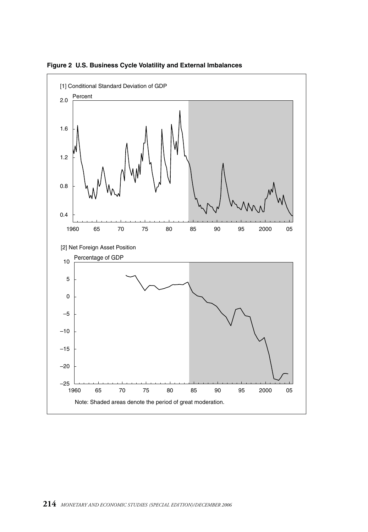

**Figure 2 U.S. Business Cycle Volatility and External Imbalances**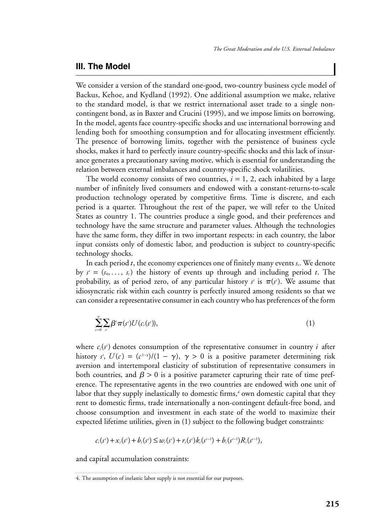# **III. The Model**

We consider a version of the standard one-good, two-country business cycle model of Backus, Kehoe, and Kydland (1992). One additional assumption we make, relative to the standard model, is that we restrict international asset trade to a single noncontingent bond, as in Baxter and Crucini (1995), and we impose limits on borrowing. In the model, agents face country-specific shocks and use international borrowing and lending both for smoothing consumption and for allocating investment efficiently. The presence of borrowing limits, together with the persistence of business cycle shocks, makes it hard to perfectly insure country-specific shocks and this lack of insurance generates a precautionary saving motive, which is essential for understanding the relation between external imbalances and country-specific shock volatilities.

The world economy consists of two countries,  $i = 1, 2$ , each inhabited by a large number of infinitely lived consumers and endowed with a constant-returns-to-scale production technology operated by competitive firms. Time is discrete, and each period is a quarter. Throughout the rest of the paper, we will refer to the United States as country 1. The countries produce a single good, and their preferences and technology have the same structure and parameter values. Although the technologies have the same form, they differ in two important respects: in each country, the labor input consists only of domestic labor, and production is subject to country-specific technology shocks.

In each period  $t$ , the economy experiences one of finitely many events  $s_t$ . We denote by  $s' = (s_0, \ldots, s_t)$  the history of events up through and including period *t*. The probability, as of period zero, of any particular history  $s^t$  is  $\pi(s^t)$ . We assume that idiosyncratic risk within each country is perfectly insured among residents so that we can consider a representative consumer in each country who has preferences of the form

$$
\sum_{t=0}^{\infty} \sum_{s'} \beta^t \pi(s') U(c_i(s')), \qquad (1)
$$

where  $c_i(s^i)$  denotes consumption of the representative consumer in country *i* after history  $s^t$ ,  $U(c) = (c^{1-\gamma})/(1-\gamma)$ ,  $\gamma > 0$  is a positive parameter determining risk aversion and intertemporal elasticity of substitution of representative consumers in both countries, and  $\beta > 0$  is a positive parameter capturing their rate of time preference. The representative agents in the two countries are endowed with one unit of labor that they supply inelastically to domestic firms,*<sup>4</sup>* own domestic capital that they rent to domestic firms, trade internationally a non-contingent default-free bond, and choose consumption and investment in each state of the world to maximize their expected lifetime utilities, given in (1) subject to the following budget constraints:

$$
c_i(s^i) + x_i(s^i) + b_i(s^i) \leq w_i(s^i) + r_i(s^i)k_i(s^{i-1}) + b_i(s^{i-1})R_i(s^{i-1}),
$$

and capital accumulation constraints:

<sup>4.</sup> The assumption of inelastic labor supply is not essential for our purposes.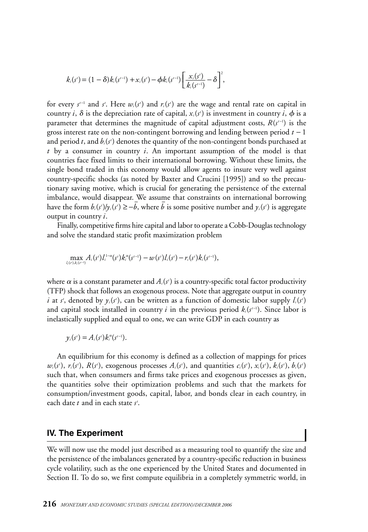$$
k_i(s^i) = (1-\delta)k_i(s^{i-1}) + x_i(s^i) - \phi k_i(s^{i-1}) \left[ \frac{x_i(s^i)}{k_i(s^{i-1})} - \delta \right]^2,
$$

for every  $s^{t-1}$  and  $s^{t}$ . Here  $w_i(s^{t})$  and  $r_i(s^{t})$  are the wage and rental rate on capital in country *i*,  $\delta$  is the depreciation rate of capital,  $x_i(s^i)$  is investment in country *i*,  $\phi$  is a parameter that determines the magnitude of capital adjustment costs,  $R(s^{t-1})$  is the gross interest rate on the non-contingent borrowing and lending between period *t* − 1 and period *t*, and  $b_i$ (s') denotes the quantity of the non-contingent bonds purchased at *t* by a consumer in country *i*. An important assumption of the model is that countries face fixed limits to their international borrowing. Without these limits, the single bond traded in this economy would allow agents to insure very well against country-specific shocks (as noted by Baxter and Crucini [1995]) and so the precautionary saving motive, which is crucial for generating the persistence of the external imbalance, would disappear. We assume that constraints on international borrowing have the form  $b_i(s^i)/y_i(s^i) \ge -\bar{b}$ , where  $\bar{b}$  is some positive number and  $y_i(s^i)$  is aggregate output in country *i*.

Finally, competitive firms hire capital and labor to operate a Cobb-Douglas technology and solve the standard static profit maximization problem

$$
\max_{l_i(s^i),l_i(s^{i-1})} A_i(s^i) l_i^{1-\alpha}(s^i) k_i^{\alpha}(s^{i-1}) - w(s^i) l_i(s^i) - r_i(s^i) k_i(s^{i-1}),
$$

where  $\alpha$  is a constant parameter and  $A_i(s^{\prime})$  is a country-specific total factor productivity (TFP) shock that follows an exogenous process. Note that aggregate output in country *i* at *s*<sup>*t*</sup>, denoted by  $y_i(s^i)$ , can be written as a function of domestic labor supply  $l_i(s^i)$ and capital stock installed in country *i* in the previous period k<sub>i</sub>(s<sup>1−1</sup>). Since labor is inelastically supplied and equal to one, we can write GDP in each country as

$$
y_i(s^i) = A_i(s^i) k_i^{\alpha}(s^{i-1}).
$$

An equilibrium for this economy is defined as a collection of mappings for prices  $w_i(s^i)$ ,  $r_i(s^i)$ ,  $R(s^i)$ , exogenous processes  $A_i(s^i)$ , and quantities  $c_i(s^i)$ ,  $x_i(s^i)$ ,  $k_i(s^i)$ ,  $b_i(s^i)$ such that, when consumers and firms take prices and exogenous processes as given, the quantities solve their optimization problems and such that the markets for consumption/investment goods, capital, labor, and bonds clear in each country, in each date *t* and in each state *s t* .

## **IV. The Experiment**

We will now use the model just described as a measuring tool to quantify the size and the persistence of the imbalances generated by a country-specific reduction in business cycle volatility, such as the one experienced by the United States and documented in Section II. To do so, we first compute equilibria in a completely symmetric world, in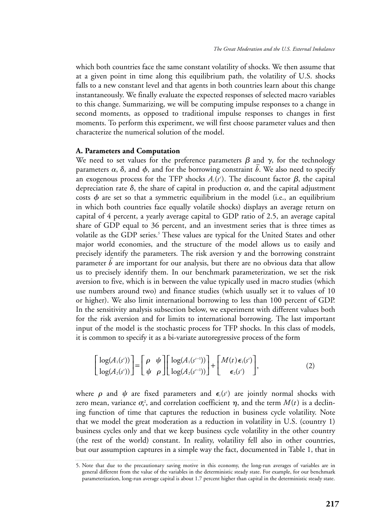which both countries face the same constant volatility of shocks. We then assume that at a given point in time along this equilibrium path, the volatility of U.S. shocks falls to a new constant level and that agents in both countries learn about this change instantaneously. We finally evaluate the expected responses of selected macro variables to this change. Summarizing, we will be computing impulse responses to a change in second moments, as opposed to traditional impulse responses to changes in first moments. To perform this experiment, we will first choose parameter values and then characterize the numerical solution of the model.

#### **A. Parameters and Computation**

We need to set values for the preference parameters  $\beta$  and  $\gamma$ , for the technology parameters  $\alpha$ ,  $\delta$ , and  $\phi$ , and for the borrowing constraint  $\overline{b}$ . We also need to specify an exogenous process for the TFP shocks  $A_i(s^{\prime})$ . The discount factor  $\boldsymbol{\beta},$  the capital depreciation rate  $\delta$ , the share of capital in production  $\alpha$ , and the capital adjustment costs  $\phi$  are set so that a symmetric equilibrium in the model (i.e., an equilibrium in which both countries face equally volatile shocks) displays an average return on capital of 4 percent, a yearly average capital to GDP ratio of 2.5, an average capital share of GDP equal to 36 percent, and an investment series that is three times as volatile as the GDP series.*<sup>5</sup>* These values are typical for the United States and other major world economies, and the structure of the model allows us to easily and precisely identify the parameters. The risk aversion  $\gamma$  and the borrowing constraint predictly identity the parameters. The risk aversion  $\gamma$  and the sorrowing constraint us to precisely identify them. In our benchmark parameterization, we set the risk aversion to five, which is in between the value typically used in macro studies (which use numbers around two) and finance studies (which usually set it to values of 10 or higher). We also limit international borrowing to less than 100 percent of GDP. In the sensitivity analysis subsection below, we experiment with different values both for the risk aversion and for limits to international borrowing. The last important input of the model is the stochastic process for TFP shocks. In this class of models, it is common to specify it as a bi-variate autoregressive process of the form

$$
\begin{bmatrix} \log(A_1(s^t)) \\ \log(A_2(s^t)) \end{bmatrix} = \begin{bmatrix} \rho & \psi \\ \psi & \rho \end{bmatrix} \begin{bmatrix} \log(A_1(s^{t-1})) \\ \log(A_2(s^{t-1})) \end{bmatrix} + \begin{bmatrix} M(t) \epsilon_1(s^t) \\ \epsilon_2(s^t) \end{bmatrix},
$$
\n(2)

where  $\rho$  and  $\psi$  are fixed parameters and  $\epsilon_i(s^i)$  are jointly normal shocks with zero mean, variance  $\sigma_{\epsilon}^2$ , and correlation coefficient  $\eta,$  and the term  $M(t)$  is a declining function of time that captures the reduction in business cycle volatility. Note that we model the great moderation as a reduction in volatility in U.S. (country 1) business cycles only and that we keep business cycle volatility in the other country (the rest of the world) constant. In reality, volatility fell also in other countries, but our assumption captures in a simple way the fact, documented in Table 1, that in

<sup>5.</sup> Note that due to the precautionary saving motive in this economy, the long-run averages of variables are in general different from the value of the variables in the deterministic steady state. For example, for our benchmark parameterization, long-run average capital is about 1.7 percent higher than capital in the deterministic steady state.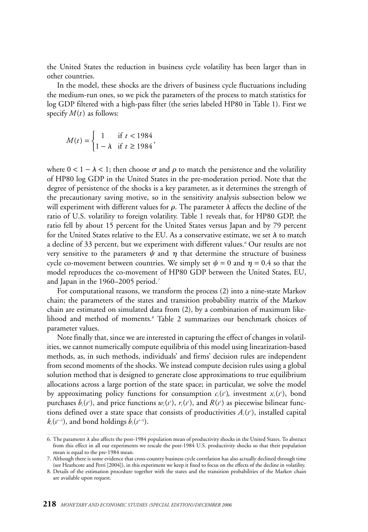the United States the reduction in business cycle volatility has been larger than in other countries.

In the model, these shocks are the drivers of business cycle fluctuations including the medium-run ones, so we pick the parameters of the process to match statistics for log GDP filtered with a high-pass filter (the series labeled HP80 in Table 1). First we specify *M*(*t*) as follows:

$$
M(t) = \begin{cases} 1 & \text{if } t < 1984 \\ 1 - \lambda & \text{if } t \ge 1984 \end{cases}
$$

where  $0 < 1 - \lambda < 1$ ; then choose  $\sigma$  and  $\rho$  to match the persistence and the volatility of HP80 log GDP in the United States in the pre-moderation period. Note that the degree of persistence of the shocks is a key parameter, as it determines the strength of the precautionary saving motive, so in the sensitivity analysis subsection below we will experiment with different values for  $\rho$ . The parameter  $\lambda$  affects the decline of the ratio of U.S. volatility to foreign volatility. Table 1 reveals that, for HP80 GDP, the ratio fell by about 15 percent for the United States versus Japan and by 79 percent for the United States relative to the EU. As a conservative estimate, we set  $\lambda$  to match a decline of 33 percent, but we experiment with different values.*<sup>6</sup>* Our results are not very sensitive to the parameters  $\psi$  and  $\eta$  that determine the structure of business cycle co-movement between countries. We simply set  $\psi = 0$  and  $\eta = 0.4$  so that the model reproduces the co-movement of HP80 GDP between the United States, EU, and Japan in the 1960–2005 period.*<sup>7</sup>*

For computational reasons, we transform the process (2) into a nine-state Markov chain; the parameters of the states and transition probability matrix of the Markov chain are estimated on simulated data from (2), by a combination of maximum likelihood and method of moments.*<sup>8</sup>* Table 2 summarizes our benchmark choices of parameter values.

Note finally that, since we are interested in capturing the effect of changes in volatilities, we cannot numerically compute equilibria of this model using linearization-based methods, as, in such methods, individuals' and firms' decision rules are independent from second moments of the shocks. We instead compute decision rules using a global solution method that is designed to generate close approximations to true equilibrium allocations across a large portion of the state space; in particular, we solve the model by approximating policy functions for consumption  $c_i(s')$ , investment  $x_i(s')$ , bond purchases  $b_i(s^i)$ , and price functions  $w_i(s^i)$ ,  $r_i(s^i)$ , and  $R(s^i)$  as piecewise bilinear functions defined over a state space that consists of productivities *Ai*(*s t* ), installed capital  $k_i(s^{t-1})$ , and bond holdings  $b_i(s^{t-1})$ .

<sup>6.</sup> The parameter  $\lambda$  also affects the post-1984 population mean of productivity shocks in the United States. To abstract from this effect in all our experiments we rescale the post-1984 U.S. productivity shocks so that their population mean is equal to the pre-1984 mean.

<sup>7.</sup> Although there is some evidence that cross-country business cycle correlation has also actually declined through time (see Heathcote and Perri [2004]), in this experiment we keep it fixed to focus on the effects of the decline in volatility.

<sup>8.</sup> Details of the estimation procedure together with the states and the transition probabilities of the Markov chain are available upon request.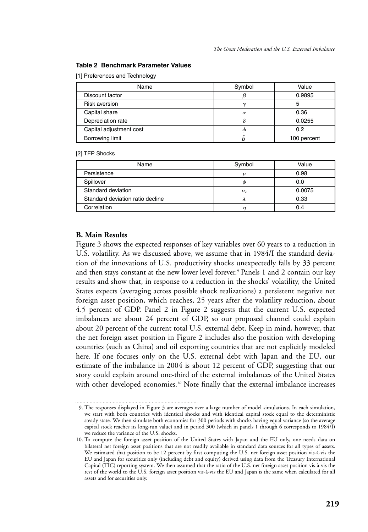#### **Table 2 Benchmark Parameter Values**

[1] Preferences and Technology

| Name                    | Symbol   | Value       |  |
|-------------------------|----------|-------------|--|
| Discount factor         |          | 0.9895      |  |
| <b>Risk aversion</b>    | $\sim$   | 5           |  |
| Capital share           | $\alpha$ | 0.36        |  |
| Depreciation rate       |          | 0.0255      |  |
| Capital adjustment cost |          | 0.2         |  |
| Borrowing limit         |          | 100 percent |  |

#### [2] TFP Shocks

| Name                             | Symbol              | Value  |  |
|----------------------------------|---------------------|--------|--|
| Persistence                      |                     | 0.98   |  |
| Spillover                        | ιI                  | 0.0    |  |
| Standard deviation               | $\sigma_{\epsilon}$ | 0.0075 |  |
| Standard deviation ratio decline |                     | 0.33   |  |
| Correlation                      |                     | 0.4    |  |

## **B. Main Results**

Figure 3 shows the expected responses of key variables over 60 years to a reduction in U.S. volatility. As we discussed above, we assume that in 1984/I the standard deviation of the innovations of U.S. productivity shocks unexpectedly falls by 33 percent and then stays constant at the new lower level forever.*<sup>9</sup>* Panels 1 and 2 contain our key results and show that, in response to a reduction in the shocks' volatility, the United States expects (averaging across possible shock realizations) a persistent negative net foreign asset position, which reaches, 25 years after the volatility reduction, about 4.5 percent of GDP. Panel 2 in Figure 2 suggests that the current U.S. expected imbalances are about 24 percent of GDP, so our proposed channel could explain about 20 percent of the current total U.S. external debt. Keep in mind, however, that the net foreign asset position in Figure 2 includes also the position with developing countries (such as China) and oil exporting countries that are not explicitly modeled here. If one focuses only on the U.S. external debt with Japan and the EU, our estimate of the imbalance in 2004 is about 12 percent of GDP, suggesting that our story could explain around one-third of the external imbalances of the United States with other developed economies.*<sup>10</sup>* Note finally that the external imbalance increases

<sup>9.</sup> The responses displayed in Figure 3 are averages over a large number of model simulations. In each simulation, we start with both countries with identical shocks and with identical capital stock equal to the deterministic steady state. We then simulate both economies for 300 periods with shocks having equal variance (so the average capital stock reaches its long-run value) and in period 300 (which in panels 1 through 6 corresponds to 1984/I) we reduce the variance of the U.S. shocks.

<sup>10.</sup> To compute the foreign asset position of the United States with Japan and the EU only, one needs data on bilateral net foreign asset positions that are not readily available in standard data sources for all types of assets. We estimated that position to be 12 percent by first computing the U.S. net foreign asset position vis-à-vis the EU and Japan for securities only (including debt and equity) derived using data from the Treasury International Capital (TIC) reporting system. We then assumed that the ratio of the U.S. net foreign asset position vis-à-vis the rest of the world to the U.S. foreign asset position vis-à-vis the EU and Japan is the same when calculated for all assets and for securities only.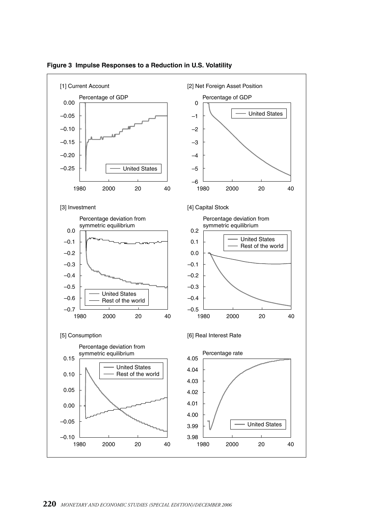

#### **Figure 3 Impulse Responses to a Reduction in U.S. Volatility**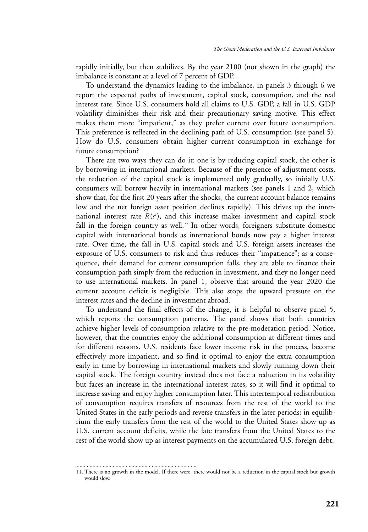rapidly initially, but then stabilizes. By the year 2100 (not shown in the graph) the imbalance is constant at a level of 7 percent of GDP.

To understand the dynamics leading to the imbalance, in panels 3 through 6 we report the expected paths of investment, capital stock, consumption, and the real interest rate. Since U.S. consumers hold all claims to U.S. GDP, a fall in U.S. GDP volatility diminishes their risk and their precautionary saving motive. This effect makes them more "impatient," as they prefer current over future consumption. This preference is reflected in the declining path of U.S. consumption (see panel 5). How do U.S. consumers obtain higher current consumption in exchange for future consumption?

There are two ways they can do it: one is by reducing capital stock, the other is by borrowing in international markets. Because of the presence of adjustment costs, the reduction of the capital stock is implemented only gradually, so initially U.S. consumers will borrow heavily in international markets (see panels 1 and 2, which show that, for the first 20 years after the shocks, the current account balance remains low and the net foreign asset position declines rapidly). This drives up the international interest rate  $R(s<sup>i</sup>)$ , and this increase makes investment and capital stock fall in the foreign country as well.*<sup>11</sup>* In other words, foreigners substitute domestic capital with international bonds as international bonds now pay a higher interest rate. Over time, the fall in U.S. capital stock and U.S. foreign assets increases the exposure of U.S. consumers to risk and thus reduces their "impatience"; as a consequence, their demand for current consumption falls, they are able to finance their consumption path simply from the reduction in investment, and they no longer need to use international markets. In panel 1, observe that around the year 2020 the current account deficit is negligible. This also stops the upward pressure on the interest rates and the decline in investment abroad.

To understand the final effects of the change, it is helpful to observe panel 5, which reports the consumption patterns. The panel shows that both countries achieve higher levels of consumption relative to the pre-moderation period. Notice, however, that the countries enjoy the additional consumption at different times and for different reasons. U.S. residents face lower income risk in the process, become effectively more impatient, and so find it optimal to enjoy the extra consumption early in time by borrowing in international markets and slowly running down their capital stock. The foreign country instead does not face a reduction in its volatility but faces an increase in the international interest rates, so it will find it optimal to increase saving and enjoy higher consumption later. This intertemporal redistribution of consumption requires transfers of resources from the rest of the world to the United States in the early periods and reverse transfers in the later periods; in equilibrium the early transfers from the rest of the world to the United States show up as U.S. current account deficits, while the late transfers from the United States to the rest of the world show up as interest payments on the accumulated U.S. foreign debt.

<sup>11.</sup> There is no growth in the model. If there were, there would not be a reduction in the capital stock but growth would slow.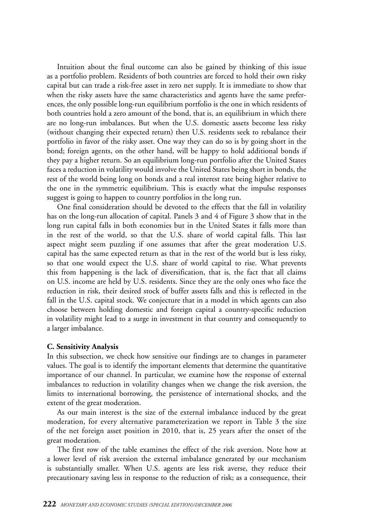Intuition about the final outcome can also be gained by thinking of this issue as a portfolio problem. Residents of both countries are forced to hold their own risky capital but can trade a risk-free asset in zero net supply. It is immediate to show that when the risky assets have the same characteristics and agents have the same preferences, the only possible long-run equilibrium portfolio is the one in which residents of both countries hold a zero amount of the bond, that is, an equilibrium in which there are no long-run imbalances. But when the U.S. domestic assets become less risky (without changing their expected return) then U.S. residents seek to rebalance their portfolio in favor of the risky asset. One way they can do so is by going short in the bond; foreign agents, on the other hand, will be happy to hold additional bonds if they pay a higher return. So an equilibrium long-run portfolio after the United States faces a reduction in volatility would involve the United States being short in bonds, the rest of the world being long on bonds and a real interest rate being higher relative to the one in the symmetric equilibrium. This is exactly what the impulse responses suggest is going to happen to country portfolios in the long run.

One final consideration should be devoted to the effects that the fall in volatility has on the long-run allocation of capital. Panels 3 and 4 of Figure 3 show that in the long run capital falls in both economies but in the United States it falls more than in the rest of the world, so that the U.S. share of world capital falls. This last aspect might seem puzzling if one assumes that after the great moderation U.S. capital has the same expected return as that in the rest of the world but is less risky, so that one would expect the U.S. share of world capital to rise. What prevents this from happening is the lack of diversification, that is, the fact that all claims on U.S. income are held by U.S. residents. Since they are the only ones who face the reduction in risk, their desired stock of buffer assets falls and this is reflected in the fall in the U.S. capital stock. We conjecture that in a model in which agents can also choose between holding domestic and foreign capital a country-specific reduction in volatility might lead to a surge in investment in that country and consequently to a larger imbalance.

### **C. Sensitivity Analysis**

In this subsection, we check how sensitive our findings are to changes in parameter values. The goal is to identify the important elements that determine the quantitative importance of our channel. In particular, we examine how the response of external imbalances to reduction in volatility changes when we change the risk aversion, the limits to international borrowing, the persistence of international shocks, and the extent of the great moderation.

As our main interest is the size of the external imbalance induced by the great moderation, for every alternative parameterization we report in Table 3 the size of the net foreign asset position in 2010, that is, 25 years after the onset of the great moderation.

The first row of the table examines the effect of the risk aversion. Note how at a lower level of risk aversion the external imbalance generated by our mechanism is substantially smaller. When U.S. agents are less risk averse, they reduce their precautionary saving less in response to the reduction of risk; as a consequence, their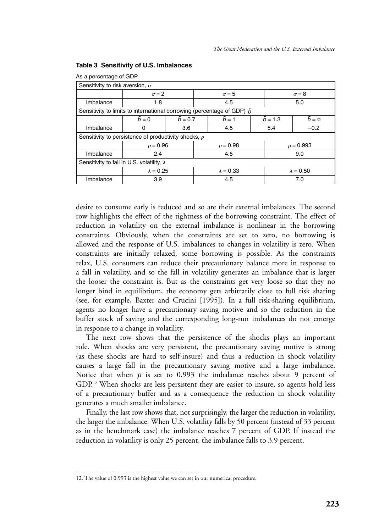| As a percentage of GDP                                                         |                  |                 |              |                    |              |                  |              |
|--------------------------------------------------------------------------------|------------------|-----------------|--------------|--------------------|--------------|------------------|--------------|
| Sensitivity to risk aversion, $\sigma$                                         |                  |                 |              |                    |              |                  |              |
|                                                                                | $\sigma = 2$     |                 | $\sigma$ = 5 |                    | $\sigma = 8$ |                  |              |
| Imbalance                                                                      | 1.8              |                 |              | 4.5                |              | 5.0              |              |
| Sensitivity to limits to international borrowing (percentage of GDP) $\bar{b}$ |                  |                 |              |                    |              |                  |              |
|                                                                                | $h = 0$          | $\bar{b} = 0.7$ |              | $\overline{b} = 1$ |              | $b = 1.3$        | $h = \infty$ |
| Imbalance                                                                      | 0                | 3.6             |              | 4.5                | 5.4          |                  | $-0.2$       |
| Sensitivity to persistence of productivity shocks, $\rho$                      |                  |                 |              |                    |              |                  |              |
|                                                                                | $\rho = 0.96$    |                 |              | $\rho = 0.98$      |              | $\rho = 0.993$   |              |
| Imbalance                                                                      | 2.4              |                 | 4.5          |                    | 9.0          |                  |              |
| Sensitivity to fall in U.S. volatility, $\lambda$                              |                  |                 |              |                    |              |                  |              |
|                                                                                | $\lambda = 0.25$ |                 |              | $\lambda = 0.33$   |              | $\lambda = 0.50$ |              |
| Imbalance                                                                      | 3.9              |                 |              | 4.5                |              | 7.0              |              |

#### **Table 3 Sensitivity of U.S. Imbalances**

desire to consume early is reduced and so are their external imbalances. The second row highlights the effect of the tightness of the borrowing constraint. The effect of reduction in volatility on the external imbalance is nonlinear in the borrowing constraints. Obviously, when the constraints are set to zero, no borrowing is allowed and the response of U.S. imbalances to changes in volatility is zero. When constraints are initially relaxed, some borrowing is possible. As the constraints relax, U.S. consumers can reduce their precautionary balance more in response to a fall in volatility, and so the fall in volatility generates an imbalance that is larger the looser the constraint is. But as the constraints get very loose so that they no longer bind in equilibrium, the economy gets arbitrarily close to full risk sharing (see, for example, Baxter and Crucini [1995]). In a full risk-sharing equilibrium, agents no longer have a precautionary saving motive and so the reduction in the buffer stock of saving and the corresponding long-run imbalances do not emerge in response to a change in volatility.

The next row shows that the persistence of the shocks plays an important role. When shocks are very persistent, the precautionary saving motive is strong (as these shocks are hard to self-insure) and thus a reduction in shock volatility causes a large fall in the precautionary saving motive and a large imbalance. Notice that when  $\rho$  is set to 0.993 the imbalance reaches about 9 percent of GDP.<sup>12</sup> When shocks are less persistent they are easier to insure, so agents hold less of a precautionary buffer and as a consequence the reduction in shock volatility generates a much smaller imbalance.

Finally, the last row shows that, not surprisingly, the larger the reduction in volatility, the larger the imbalance. When U.S. volatility falls by 50 percent (instead of 33 percent as in the benchmark case) the imbalance reaches 7 percent of GDP. If instead the reduction in volatility is only 25 percent, the imbalance falls to 3.9 percent.

<sup>12.</sup> The value of 0.993 is the highest value we can set in our numerical procedure.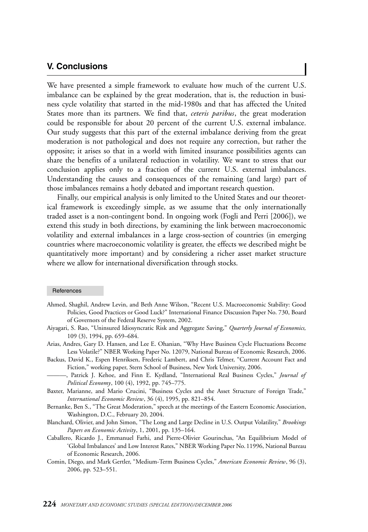# **V. Conclusions**

We have presented a simple framework to evaluate how much of the current U.S. imbalance can be explained by the great moderation, that is, the reduction in business cycle volatility that started in the mid-1980s and that has affected the United States more than its partners. We find that, *ceteris paribus*, the great moderation could be responsible for about 20 percent of the current U.S. external imbalance. Our study suggests that this part of the external imbalance deriving from the great moderation is not pathological and does not require any correction, but rather the opposite; it arises so that in a world with limited insurance possibilities agents can share the benefits of a unilateral reduction in volatility. We want to stress that our conclusion applies only to a fraction of the current U.S. external imbalances. Understanding the causes and consequences of the remaining (and large) part of those imbalances remains a hotly debated and important research question.

Finally, our empirical analysis is only limited to the United States and our theoretical framework is exceedingly simple, as we assume that the only internationally traded asset is a non-contingent bond. In ongoing work (Fogli and Perri [2006]), we extend this study in both directions, by examining the link between macroeconomic volatility and external imbalances in a large cross-section of countries (in emerging countries where macroeconomic volatility is greater, the effects we described might be quantitatively more important) and by considering a richer asset market structure where we allow for international diversification through stocks.

#### **References**

- Ahmed, Shaghil, Andrew Levin, and Beth Anne Wilson, "Recent U.S. Macroeconomic Stability: Good Policies, Good Practices or Good Luck?" International Finance Discussion Paper No. 730, Board of Governors of the Federal Reserve System, 2002.
- Aiyagari, S. Rao, "Uninsured Idiosyncratic Risk and Aggregate Saving," *Quarterly Journal of Economics,* 109 (3), 1994, pp. 659–684.
- Arias, Andres, Gary D. Hansen, and Lee E. Ohanian, "Why Have Business Cycle Fluctuations Become Less Volatile?" NBER Working Paper No. 12079, National Bureau of Economic Research, 2006.
- Backus, David K., Espen Henriksen, Frederic Lambert, and Chris Telmer, "Current Account Fact and Fiction," working paper, Stern School of Business, New York University, 2006.
- ———, Patrick J. Kehoe, and Finn E. Kydland, "International Real Business Cycles," *Journal of Political Economy*, 100 (4), 1992, pp. 745–775.
- Baxter, Marianne, and Mario Crucini, "Business Cycles and the Asset Structure of Foreign Trade," *International Economic Review*, 36 (4), 1995, pp. 821–854.
- Bernanke, Ben S., "The Great Moderation," speech at the meetings of the Eastern Economic Association, Washington, D.C., February 20, 2004.
- Blanchard, Olivier, and John Simon, "The Long and Large Decline in U.S. Output Volatility," *Brookings Papers on Economic Activity*, 1, 2001, pp. 135–164.
- Caballero, Ricardo J., Emmanuel Farhi, and Pierre-Olivier Gourinchas, "An Equilibrium Model of 'Global Imbalances' and Low Interest Rates," NBER Working Paper No.11996, National Bureau of Economic Research, 2006.
- Comin, Diego, and Mark Gertler, "Medium-Term Business Cycles," *American Economic Review*, 96 (3), 2006, pp. 523–551.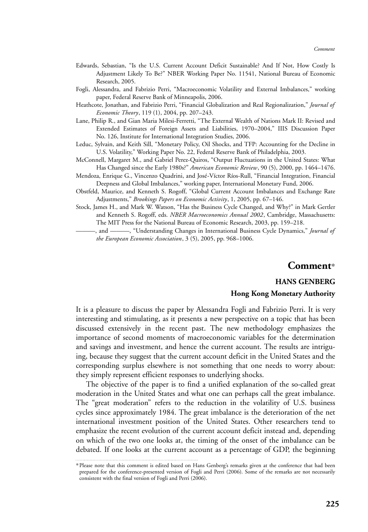- Edwards, Sebastian, "Is the U.S. Current Account Deficit Sustainable? And If Not, How Costly Is Adjustment Likely To Be?" NBER Working Paper No. 11541, National Bureau of Economic Research, 2005.
- Fogli, Alessandra, and Fabrizio Perri, "Macroeconomic Volatility and External Imbalances," working paper, Federal Reserve Bank of Minneapolis, 2006.
- Heathcote, Jonathan, and Fabrizio Perri, "Financial Globalization and Real Regionalization," *Journal of Economic Theory*, 119 (1), 2004, pp. 207–243.
- Lane, Philip R., and Gian Maria Milesi-Ferretti, "The External Wealth of Nations Mark II: Revised and Extended Estimates of Foreign Assets and Liabilities, 1970–2004," IIIS Discussion Paper No. 126, Institute for International Integration Studies, 2006.
- Leduc, Sylvain, and Keith Sill, "Monetary Policy, Oil Shocks, and TFP: Accounting for the Decline in U.S. Volatility," Working Paper No. 22, Federal Reserve Bank of Philadelphia, 2003.
- McConnell, Margaret M., and Gabriel Perez-Quiros, "Output Fluctuations in the United States: What Has Changed since the Early 1980s?" *American Economic Review*, 90 (5), 2000, pp. 1464–1476.
- Mendoza, Enrique G., Vincenzo Quadrini, and José-Víctor Ríos-Rull, "Financial Integration, Financial Deepness and Global Imbalances," working paper, International Monetary Fund, 2006.
- Obstfeld, Maurice, and Kenneth S. Rogoff, "Global Current Account Imbalances and Exchange Rate Adjustments," *Brookings Papers on Economic Activity*, 1, 2005, pp. 67–146.
- Stock, James H., and Mark W. Watson, "Has the Business Cycle Changed, and Why?" in Mark Gertler and Kenneth S. Rogoff, eds. *NBER Macroeconomics Annual 2002*, Cambridge, Massachusetts: The MIT Press for the National Bureau of Economic Research, 2003, pp. 159–218.

———, and ———, "Understanding Changes in International Business Cycle Dynamics," *Journal of the European Economic Association*, 3 (5), 2005, pp. 968–1006.

## **Comment**\*

## **HANS GENBERG**

### **Hong Kong Monetary Authority**

It is a pleasure to discuss the paper by Alessandra Fogli and Fabrizio Perri. It is very interesting and stimulating, as it presents a new perspective on a topic that has been discussed extensively in the recent past. The new methodology emphasizes the importance of second moments of macroeconomic variables for the determination and savings and investment, and hence the current account. The results are intriguing, because they suggest that the current account deficit in the United States and the corresponding surplus elsewhere is not something that one needs to worry about: they simply represent efficient responses to underlying shocks.

The objective of the paper is to find a unified explanation of the so-called great moderation in the United States and what one can perhaps call the great imbalance. The "great moderation" refers to the reduction in the volatility of U.S. business cycles since approximately 1984. The great imbalance is the deterioration of the net international investment position of the United States. Other researchers tend to emphasize the recent evolution of the current account deficit instead and, depending on which of the two one looks at, the timing of the onset of the imbalance can be debated. If one looks at the current account as a percentage of GDP, the beginning

<sup>\*</sup>Please note that this comment is edited based on Hans Genberg's remarks given at the conference that had been prepared for the conference-presented version of Fogli and Perri (2006). Some of the remarks are not necessarily consistent with the final version of Fogli and Perri (2006).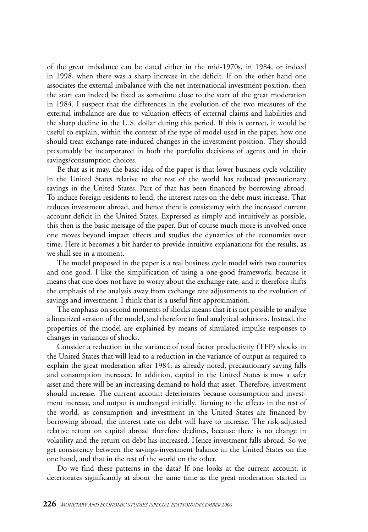of the great imbalance can be dated either in the mid-1970s, in 1984, or indeed in 1998, when there was a sharp increase in the deficit. If on the other hand one associates the external imbalance with the net international investment position, then the start can indeed be fixed as sometime close to the start of the great moderation in 1984. I suspect that the differences in the evolution of the two measures of the external imbalance are due to valuation effects of external claims and liabilities and the sharp decline in the U.S. dollar during this period. If this is correct, it would be useful to explain, within the context of the type of model used in the paper, how one should treat exchange rate-induced changes in the investment position. They should presumably be incorporated in both the portfolio decisions of agents and in their savings/consumption choices.

Be that as it may, the basic idea of the paper is that lower business cycle volatility in the United States relative to the rest of the world has reduced precautionary savings in the United States. Part of that has been financed by borrowing abroad. To induce foreign residents to lend, the interest rates on the debt must increase. That reduces investment abroad, and hence there is consistency with the increased current account deficit in the United States. Expressed as simply and intuitively as possible, this then is the basic message of the paper. But of course much more is involved once one moves beyond impact effects and studies the dynamics of the economies over time. Here it becomes a bit harder to provide intuitive explanations for the results, as we shall see in a moment.

The model proposed in the paper is a real business cycle model with two countries and one good. I like the simplification of using a one-good framework, because it means that one does not have to worry about the exchange rate, and it therefore shifts the emphasis of the analysis away from exchange rate adjustments to the evolution of savings and investment. I think that is a useful first approximation.

The emphasis on second moments of shocks means that it is not possible to analyze a linearized version of the model, and therefore to find analytical solutions. Instead, the properties of the model are explained by means of simulated impulse responses to changes in variances of shocks.

Consider a reduction in the variance of total factor productivity (TFP) shocks in the United States that will lead to a reduction in the variance of output as required to explain the great moderation after 1984; as already noted, precautionary saving falls and consumption increases. In addition, capital in the United States is now a safer asset and there will be an increasing demand to hold that asset. Therefore, investment should increase. The current account deteriorates because consumption and investment increase, and output is unchanged initially. Turning to the effects in the rest of the world, as consumption and investment in the United States are financed by borrowing abroad, the interest rate on debt will have to increase. The risk-adjusted relative return on capital abroad therefore declines, because there is no change in volatility and the return on debt has increased. Hence investment falls abroad. So we get consistency between the savings-investment balance in the United States on the one hand, and that in the rest of the world on the other.

Do we find these patterns in the data? If one looks at the current account, it deteriorates significantly at about the same time as the great moderation started in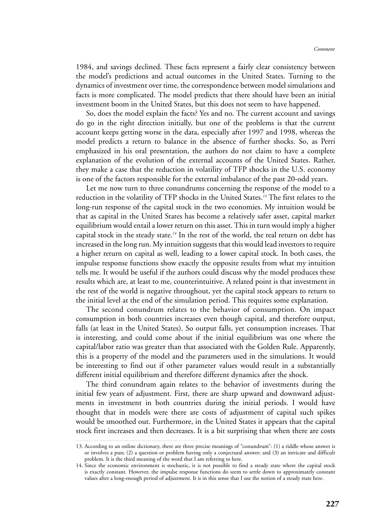1984, and savings declined. These facts represent a fairly clear consistency between the model's predictions and actual outcomes in the United States. Turning to the dynamics of investment over time, the correspondence between model simulations and facts is more complicated. The model predicts that there should have been an initial investment boom in the United States, but this does not seem to have happened.

So, does the model explain the facts? Yes and no. The current account and savings do go in the right direction initially, but one of the problems is that the current account keeps getting worse in the data, especially after 1997 and 1998, whereas the model predicts a return to balance in the absence of further shocks. So, as Perri emphasized in his oral presentation, the authors do not claim to have a complete explanation of the evolution of the external accounts of the United States. Rather, they make a case that the reduction in volatility of TFP shocks in the U.S. economy is one of the factors responsible for the external imbalance of the past 20-odd years.

Let me now turn to three conundrums concerning the response of the model to a reduction in the volatility of TFP shocks in the United States.*<sup>13</sup>* The first relates to the long-run response of the capital stock in the two economies. My intuition would be that as capital in the United States has become a relatively safer asset, capital market equilibrium would entail a lower return on this asset. This in turn would imply a higher capital stock in the steady state.*<sup>14</sup>* In the rest of the world, the real return on debt has increased in the long run. My intuition suggests that this would lead investors to require a higher return on capital as well, leading to a lower capital stock. In both cases, the impulse response functions show exactly the opposite results from what my intuition tells me. It would be useful if the authors could discuss why the model produces these results which are, at least to me, counterintuitive. A related point is that investment in the rest of the world is negative throughout, yet the capital stock appears to return to the initial level at the end of the simulation period. This requires some explanation.

The second conundrum relates to the behavior of consumption. On impact consumption in both countries increases even though capital, and therefore output, falls (at least in the United States). So output falls, yet consumption increases. That is interesting, and could come about if the initial equilibrium was one where the capital/labor ratio was greater than that associated with the Golden Rule. Apparently, this is a property of the model and the parameters used in the simulations. It would be interesting to find out if other parameter values would result in a substantially different initial equilibrium and therefore different dynamics after the shock.

The third conundrum again relates to the behavior of investments during the initial few years of adjustment. First, there are sharp upward and downward adjustments in investment in both countries during the initial periods. I would have thought that in models were there are costs of adjustment of capital such spikes would be smoothed out. Furthermore, in the United States it appears that the capital stock first increases and then decreases. It is a bit surprising that when there are costs 

<sup>13.</sup> According to an online dictionary, there are three precise meanings of "conundrum": (1) a riddle whose answer is or involves a pun; (2) a question or problem having only a conjectural answer; and (3) an intricate and difficult problem. It is the third meaning of the word that I am referring to here.

<sup>14.</sup> Since the economic environment is stochastic, it is not possible to find a steady state where the capital stock is exactly constant. However, the impulse response functions do seem to settle down to approximately constant values after a long-enough period of adjustment. It is in this sense that I use the notion of a steady state here.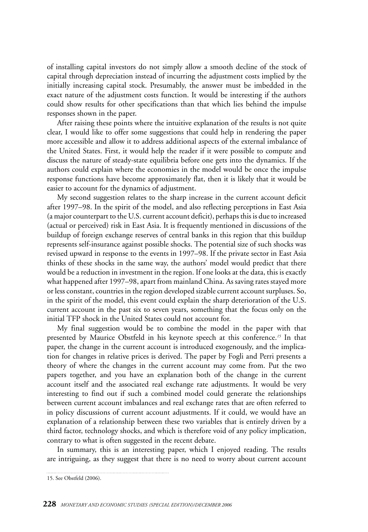of installing capital investors do not simply allow a smooth decline of the stock of capital through depreciation instead of incurring the adjustment costs implied by the initially increasing capital stock. Presumably, the answer must be imbedded in the exact nature of the adjustment costs function. It would be interesting if the authors could show results for other specifications than that which lies behind the impulse responses shown in the paper.

After raising these points where the intuitive explanation of the results is not quite clear, I would like to offer some suggestions that could help in rendering the paper more accessible and allow it to address additional aspects of the external imbalance of the United States. First, it would help the reader if it were possible to compute and discuss the nature of steady-state equilibria before one gets into the dynamics. If the authors could explain where the economies in the model would be once the impulse response functions have become approximately flat, then it is likely that it would be easier to account for the dynamics of adjustment.

My second suggestion relates to the sharp increase in the current account deficit after 1997–98. In the spirit of the model, and also reflecting perceptions in East Asia (a major counterpart to the U.S. current account deficit), perhaps this is due to increased (actual or perceived) risk in East Asia. It is frequently mentioned in discussions of the buildup of foreign exchange reserves of central banks in this region that this buildup represents self-insurance against possible shocks. The potential size of such shocks was revised upward in response to the events in 1997–98. If the private sector in East Asia thinks of these shocks in the same way, the authors' model would predict that there would be a reduction in investment in the region. If one looks at the data, this is exactly what happened after 1997–98, apart from mainland China. As saving rates stayed more or less constant, countries in the region developed sizable current account surpluses. So, in the spirit of the model, this event could explain the sharp deterioration of the U.S. current account in the past six to seven years, something that the focus only on the initial TFP shock in the United States could not account for.

My final suggestion would be to combine the model in the paper with that presented by Maurice Obstfeld in his keynote speech at this conference.*<sup>15</sup>* In that paper, the change in the current account is introduced exogenously, and the implication for changes in relative prices is derived. The paper by Fogli and Perri presents a theory of where the changes in the current account may come from. Put the two papers together, and you have an explanation both of the change in the current account itself and the associated real exchange rate adjustments. It would be very interesting to find out if such a combined model could generate the relationships between current account imbalances and real exchange rates that are often referred to in policy discussions of current account adjustments. If it could, we would have an explanation of a relationship between these two variables that is entirely driven by a third factor, technology shocks, and which is therefore void of any policy implication, contrary to what is often suggested in the recent debate.

In summary, this is an interesting paper, which I enjoyed reading. The results are intriguing, as they suggest that there is no need to worry about current account

<sup>15.</sup> See Obstfeld (2006).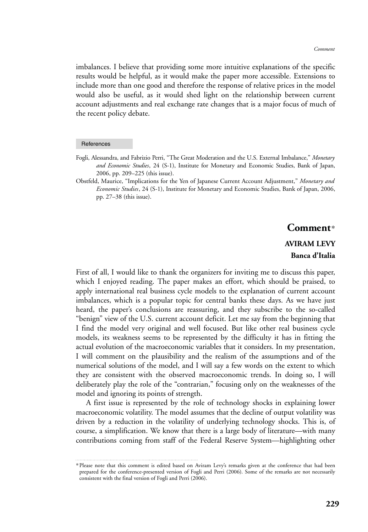imbalances. I believe that providing some more intuitive explanations of the specific results would be helpful, as it would make the paper more accessible. Extensions to include more than one good and therefore the response of relative prices in the model would also be useful, as it would shed light on the relationship between current account adjustments and real exchange rate changes that is a major focus of much of the recent policy debate.

#### **References**

- Fogli, Alessandra, and Fabrizio Perri, "The Great Moderation and the U.S. External Imbalance," *Monetary and Economic Studies*, 24 (S-1), Institute for Monetary and Economic Studies, Bank of Japan, 2006, pp. 209–225 (this issue).
- Obstfeld, Maurice, "Implications for the Yen of Japanese Current Account Adjustment," *Monetary and Economic Studies*, 24 (S-1), Institute for Monetary and Economic Studies, Bank of Japan, 2006, pp. 27–38 (this issue).

# **Comment**\*

# **AVIRAM LEVY Banca d'Italia**

First of all, I would like to thank the organizers for inviting me to discuss this paper, which I enjoyed reading. The paper makes an effort, which should be praised, to apply international real business cycle models to the explanation of current account imbalances, which is a popular topic for central banks these days. As we have just heard, the paper's conclusions are reassuring, and they subscribe to the so-called "benign" view of the U.S. current account deficit. Let me say from the beginning that I find the model very original and well focused. But like other real business cycle models, its weakness seems to be represented by the difficulty it has in fitting the actual evolution of the macroeconomic variables that it considers. In my presentation, I will comment on the plausibility and the realism of the assumptions and of the numerical solutions of the model, and I will say a few words on the extent to which they are consistent with the observed macroeconomic trends. In doing so, I will deliberately play the role of the "contrarian," focusing only on the weaknesses of the model and ignoring its points of strength.

A first issue is represented by the role of technology shocks in explaining lower macroeconomic volatility. The model assumes that the decline of output volatility was driven by a reduction in the volatility of underlying technology shocks. This is, of course, a simplification. We know that there is a large body of literature—with many contributions coming from staff of the Federal Reserve System—highlighting other

<sup>\*</sup>Please note that this comment is edited based on Aviram Levy's remarks given at the conference that had been prepared for the conference-presented version of Fogli and Perri (2006). Some of the remarks are not necessarily consistent with the final version of Fogli and Perri (2006).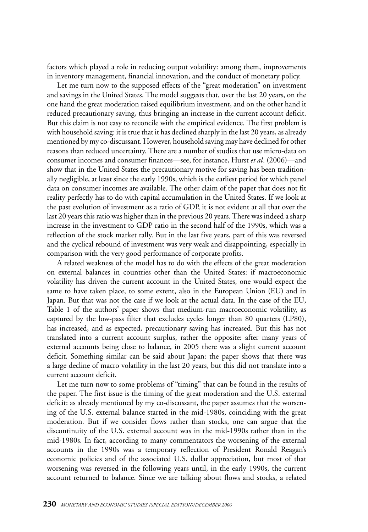factors which played a role in reducing output volatility: among them, improvements in inventory management, financial innovation, and the conduct of monetary policy.

Let me turn now to the supposed effects of the "great moderation" on investment and savings in the United States. The model suggests that, over the last 20 years, on the one hand the great moderation raised equilibrium investment, and on the other hand it reduced precautionary saving, thus bringing an increase in the current account deficit. But this claim is not easy to reconcile with the empirical evidence. The first problem is with household saving: it is true that it has declined sharply in the last 20 years, as already mentioned by my co-discussant. However, household saving may have declined for other reasons than reduced uncertainty. There are a number of studies that use micro-data on consumer incomes and consumer finances—see, for instance, Hurst *et al*. (2006)—and show that in the United States the precautionary motive for saving has been traditionally negligible, at least since the early 1990s, which is the earliest period for which panel data on consumer incomes are available. The other claim of the paper that does not fit reality perfectly has to do with capital accumulation in the United States. If we look at the past evolution of investment as a ratio of GDP, it is not evident at all that over the last 20 years this ratio was higher than in the previous 20 years. There was indeed a sharp increase in the investment to GDP ratio in the second half of the 1990s, which was a reflection of the stock market rally. But in the last five years, part of this was reversed and the cyclical rebound of investment was very weak and disappointing, especially in comparison with the very good performance of corporate profits.

A related weakness of the model has to do with the effects of the great moderation on external balances in countries other than the United States: if macroeconomic volatility has driven the current account in the United States, one would expect the same to have taken place, to some extent, also in the European Union (EU) and in Japan. But that was not the case if we look at the actual data. In the case of the EU, Table 1 of the authors' paper shows that medium-run macroeconomic volatility, as captured by the low-pass filter that excludes cycles longer than 80 quarters (LP80), has increased, and as expected, precautionary saving has increased. But this has not translated into a current account surplus, rather the opposite: after many years of external accounts being close to balance, in 2005 there was a slight current account deficit. Something similar can be said about Japan: the paper shows that there was a large decline of macro volatility in the last 20 years, but this did not translate into a current account deficit.

Let me turn now to some problems of "timing" that can be found in the results of the paper. The first issue is the timing of the great moderation and the U.S. external deficit: as already mentioned by my co-discussant, the paper assumes that the worsening of the U.S. external balance started in the mid-1980s, coinciding with the great moderation. But if we consider flows rather than stocks, one can argue that the discontinuity of the U.S. external account was in the mid-1990s rather than in the mid-1980s. In fact, according to many commentators the worsening of the external accounts in the 1990s was a temporary reflection of President Ronald Reagan's economic policies and of the associated U.S. dollar appreciation, but most of that worsening was reversed in the following years until, in the early 1990s, the current account returned to balance. Since we are talking about flows and stocks, a related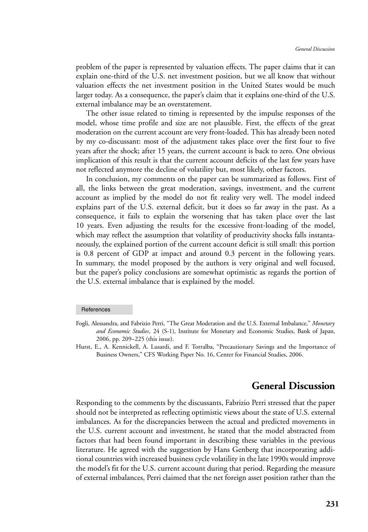problem of the paper is represented by valuation effects. The paper claims that it can explain one-third of the U.S. net investment position, but we all know that without valuation effects the net investment position in the United States would be much larger today. As a consequence, the paper's claim that it explains one-third of the U.S. external imbalance may be an overstatement.

The other issue related to timing is represented by the impulse responses of the model, whose time profile and size are not plausible. First, the effects of the great moderation on the current account are very front-loaded. This has already been noted by my co-discussant: most of the adjustment takes place over the first four to five years after the shock; after 15 years, the current account is back to zero. One obvious implication of this result is that the current account deficits of the last few years have not reflected anymore the decline of volatility but, most likely, other factors.

In conclusion, my comments on the paper can be summarized as follows. First of all, the links between the great moderation, savings, investment, and the current account as implied by the model do not fit reality very well. The model indeed explains part of the U.S. external deficit, but it does so far away in the past. As a consequence, it fails to explain the worsening that has taken place over the last 10 years. Even adjusting the results for the excessive front-loading of the model, which may reflect the assumption that volatility of productivity shocks falls instantaneously, the explained portion of the current account deficit is still small: this portion is 0.8 percent of GDP at impact and around 0.3 percent in the following years. In summary, the model proposed by the authors is very original and well focused, but the paper's policy conclusions are somewhat optimistic as regards the portion of the U.S. external imbalance that is explained by the model.

# **General Discussion**

Responding to the comments by the discussants, Fabrizio Perri stressed that the paper should not be interpreted as reflecting optimistic views about the state of U.S. external imbalances. As for the discrepancies between the actual and predicted movements in the U.S. current account and investment, he stated that the model abstracted from factors that had been found important in describing these variables in the previous literature. He agreed with the suggestion by Hans Genberg that incorporating additional countries with increased business cycle volatility in the late 1990s would improve the model's fit for the U.S. current account during that period. Regarding the measure of external imbalances, Perri claimed that the net foreign asset position rather than the

**References** 

Fogli, Alessandra, and Fabrizio Perri, "The Great Moderation and the U.S. External Imbalance," *Monetary and Economic Studies*, 24 (S-1), Institute for Monetary and Economic Studies, Bank of Japan, 2006, pp. 209–225 (this issue).

Hurst, E., A. Kennickell, A. Lusardi, and F. Torralba, "Precautionary Savings and the Importance of Business Owners," CFS Working Paper No. 16, Center for Financial Studies, 2006.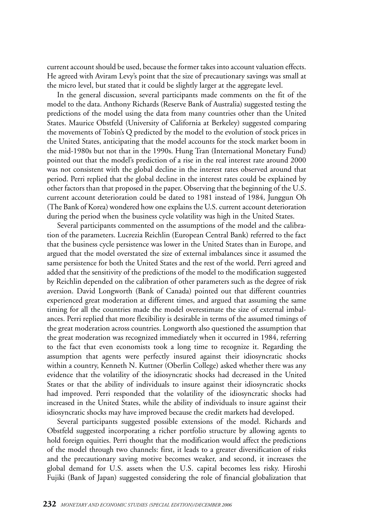current account should be used, because the former takes into account valuation effects. He agreed with Aviram Levy's point that the size of precautionary savings was small at the micro level, but stated that it could be slightly larger at the aggregate level.

In the general discussion, several participants made comments on the fit of the model to the data. Anthony Richards (Reserve Bank of Australia) suggested testing the predictions of the model using the data from many countries other than the United States. Maurice Obstfeld (University of California at Berkeley) suggested comparing the movements of Tobin's Q predicted by the model to the evolution of stock prices in the United States, anticipating that the model accounts for the stock market boom in the mid-1980s but not that in the 1990s. Hung Tran (International Monetary Fund) pointed out that the model's prediction of a rise in the real interest rate around 2000 was not consistent with the global decline in the interest rates observed around that period. Perri replied that the global decline in the interest rates could be explained by other factors than that proposed in the paper. Observing that the beginning of the U.S. current account deterioration could be dated to 1981 instead of 1984, Junggun Oh (The Bank of Korea) wondered how one explains the U.S. current account deterioration during the period when the business cycle volatility was high in the United States.

Several participants commented on the assumptions of the model and the calibration of the parameters. Lucrezia Reichlin (European Central Bank) referred to the fact that the business cycle persistence was lower in the United States than in Europe, and argued that the model overstated the size of external imbalances since it assumed the same persistence for both the United States and the rest of the world. Perri agreed and added that the sensitivity of the predictions of the model to the modification suggested by Reichlin depended on the calibration of other parameters such as the degree of risk aversion. David Longworth (Bank of Canada) pointed out that different countries experienced great moderation at different times, and argued that assuming the same timing for all the countries made the model overestimate the size of external imbalances. Perri replied that more flexibility is desirable in terms of the assumed timings of the great moderation across countries. Longworth also questioned the assumption that the great moderation was recognized immediately when it occurred in 1984, referring to the fact that even economists took a long time to recognize it. Regarding the assumption that agents were perfectly insured against their idiosyncratic shocks within a country, Kenneth N. Kuttner (Oberlin College) asked whether there was any evidence that the volatility of the idiosyncratic shocks had decreased in the United States or that the ability of individuals to insure against their idiosyncratic shocks had improved. Perri responded that the volatility of the idiosyncratic shocks had increased in the United States, while the ability of individuals to insure against their idiosyncratic shocks may have improved because the credit markets had developed.

Several participants suggested possible extensions of the model. Richards and Obstfeld suggested incorporating a richer portfolio structure by allowing agents to hold foreign equities. Perri thought that the modification would affect the predictions of the model through two channels: first, it leads to a greater diversification of risks and the precautionary saving motive becomes weaker, and second, it increases the global demand for U.S. assets when the U.S. capital becomes less risky. Hiroshi Fujiki (Bank of Japan) suggested considering the role of financial globalization that